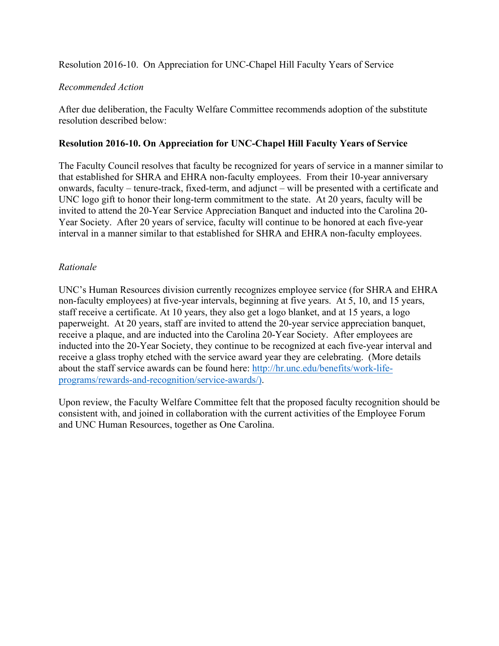Resolution 2016-10. On Appreciation for UNC-Chapel Hill Faculty Years of Service

## *Recommended Action*

After due deliberation, the Faculty Welfare Committee recommends adoption of the substitute resolution described below:

## **Resolution 2016-10. On Appreciation for UNC-Chapel Hill Faculty Years of Service**

The Faculty Council resolves that faculty be recognized for years of service in a manner similar to that established for SHRA and EHRA non-faculty employees. From their 10-year anniversary onwards, faculty – tenure-track, fixed-term, and adjunct – will be presented with a certificate and UNC logo gift to honor their long-term commitment to the state. At 20 years, faculty will be invited to attend the 20-Year Service Appreciation Banquet and inducted into the Carolina 20- Year Society. After 20 years of service, faculty will continue to be honored at each five-year interval in a manner similar to that established for SHRA and EHRA non-faculty employees.

## *Rationale*

UNC's Human Resources division currently recognizes employee service (for SHRA and EHRA non-faculty employees) at five-year intervals, beginning at five years. At 5, 10, and 15 years, staff receive a certificate. At 10 years, they also get a logo blanket, and at 15 years, a logo paperweight. At 20 years, staff are invited to attend the 20-year service appreciation banquet, receive a plaque, and are inducted into the Carolina 20-Year Society. After employees are inducted into the 20-Year Society, they continue to be recognized at each five-year interval and receive a glass trophy etched with the service award year they are celebrating. (More details about the staff service awards can be found here: http://hr.unc.edu/benefits/work-lifeprograms/rewards-and-recognition/service-awards/).

Upon review, the Faculty Welfare Committee felt that the proposed faculty recognition should be consistent with, and joined in collaboration with the current activities of the Employee Forum and UNC Human Resources, together as One Carolina.